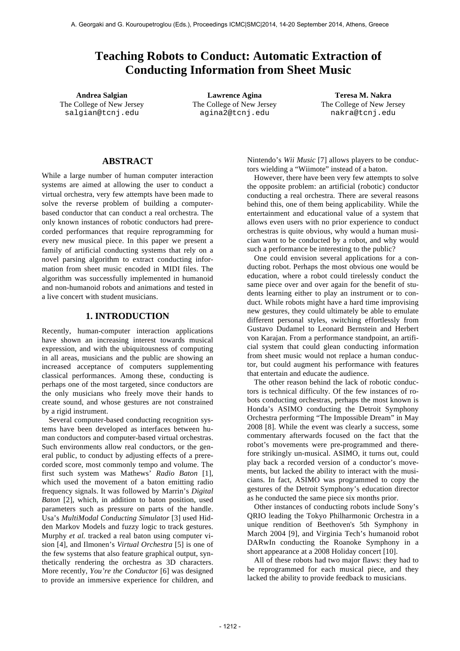# **Teaching Robots to Conduct: Automatic Extraction of Conducting Information from Sheet Music**

The College of New Jersey salgian@tcnj.edu

**Andrea Salgian Lawrence Agina Teresa M. Nakra** The College of New Jersey agina2@tcnj.edu

The College of New Jersey nakra@tcnj.edu

# **ABSTRACT**

While a large number of human computer interaction systems are aimed at allowing the user to conduct a virtual orchestra, very few attempts have been made to solve the reverse problem of building a computerbased conductor that can conduct a real orchestra. The only known instances of robotic conductors had prerecorded performances that require reprogramming for every new musical piece. In this paper we present a family of artificial conducting systems that rely on a novel parsing algorithm to extract conducting information from sheet music encoded in MIDI files. The algorithm was successfully implemented in humanoid and non-humanoid robots and animations and tested in a live concert with student musicians.

# **1. INTRODUCTION**

Recently, human-computer interaction applications have shown an increasing interest towards musical expression, and with the ubiquitousness of computing in all areas, musicians and the public are showing an increased acceptance of computers supplementing classical performances. Among these, conducting is perhaps one of the most targeted, since conductors are the only musicians who freely move their hands to create sound, and whose gestures are not constrained by a rigid instrument.

Several computer-based conducting recognition systems have been developed as interfaces between human conductors and computer-based virtual orchestras. Such environments allow real conductors, or the general public, to conduct by adjusting effects of a prerecorded score, most commonly tempo and volume. The first such system was Mathews' *Radio Baton* [1], which used the movement of a baton emitting radio frequency signals. It was followed by Marrin's *Digital Baton* [2], which, in addition to baton position, used parameters such as pressure on parts of the handle. Usa's *MultiModal Conducting Simulator* [3] used Hidden Markov Models and fuzzy logic to track gestures. Murphy *et al.* tracked a real baton using computer vision [4], and Ilmonen's *Virtual Orchestra* [5] is one of the few systems that also feature graphical output, synthetically rendering the orchestra as 3D characters. More recently, *You're the Conductor* [6] was designed to provide an immersive experience for children, and Nintendo's *Wii Music* [7] allows players to be conductors wielding a "Wiimote" instead of a baton.

However, there have been very few attempts to solve the opposite problem: an artificial (robotic) conductor conducting a real orchestra. There are several reasons behind this, one of them being applicability. While the entertainment and educational value of a system that allows even users with no prior experience to conduct orchestras is quite obvious, why would a human musician want to be conducted by a robot, and why would such a performance be interesting to the public?

One could envision several applications for a conducting robot. Perhaps the most obvious one would be education, where a robot could tirelessly conduct the same piece over and over again for the benefit of students learning either to play an instrument or to conduct. While robots might have a hard time improvising new gestures, they could ultimately be able to emulate different personal styles, switching effortlessly from Gustavo Dudamel to Leonard Bernstein and Herbert von Karajan. From a performance standpoint, an artificial system that could glean conducting information from sheet music would not replace a human conductor, but could augment his performance with features that entertain and educate the audience.

The other reason behind the lack of robotic conductors is technical difficulty. Of the few instances of robots conducting orchestras, perhaps the most known is Honda's ASIMO conducting the Detroit Symphony Orchestra performing "The Impossible Dream" in May 2008 [8]. While the event was clearly a success, some commentary afterwards focused on the fact that the robot's movements were pre-programmed and therefore strikingly un-musical. ASIMO, it turns out, could play back a recorded version of a conductor's movements, but lacked the ability to interact with the musicians. In fact, ASIMO was programmed to copy the gestures of the Detroit Symphony's education director as he conducted the same piece six months prior.

Other instances of conducting robots include Sony's QRIO leading the Tokyo Philharmonic Orchestra in a unique rendition of Beethoven's 5th Symphony in March 2004 [9], and Virginia Tech's humanoid robot DARwIn conducting the Roanoke Symphony in a short appearance at a 2008 Holiday concert [10].

All of these robots had two major flaws: they had to be reprogrammed for each musical piece, and they lacked the ability to provide feedback to musicians.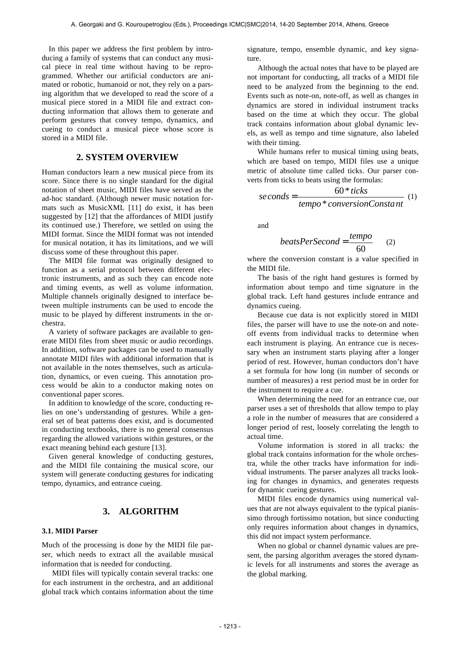In this paper we address the first problem by introducing a family of systems that can conduct any musical piece in real time without having to be reprogrammed. Whether our artificial conductors are animated or robotic, humanoid or not, they rely on a parsing algorithm that we developed to read the score of a musical piece stored in a MIDI file and extract conducting information that allows them to generate and perform gestures that convey tempo, dynamics, and cueing to conduct a musical piece whose score is stored in a MIDI file.

# **2. SYSTEM OVERVIEW**

Human conductors learn a new musical piece from its score. Since there is no single standard for the digital notation of sheet music, MIDI files have served as the ad-hoc standard. (Although newer music notation formats such as MusicXML [11] do exist, it has been suggested by [12] that the affordances of MIDI justify its continued use.) Therefore, we settled on using the MIDI format. Since the MIDI format was not intended for musical notation, it has its limitations, and we will discuss some of these throughout this paper.

The MIDI file format was originally designed to function as a serial protocol between different electronic instruments, and as such they can encode note and timing events, as well as volume information. Multiple channels originally designed to interface between multiple instruments can be used to encode the music to be played by different instruments in the orchestra.

A variety of software packages are available to generate MIDI files from sheet music or audio recordings. In addition, software packages can be used to manually annotate MIDI files with additional information that is not available in the notes themselves, such as articulation, dynamics, or even cueing. This annotation process would be akin to a conductor making notes on conventional paper scores.

In addition to knowledge of the score, conducting relies on one's understanding of gestures. While a general set of beat patterns does exist, and is documented in conducting textbooks, there is no general consensus regarding the allowed variations within gestures, or the exact meaning behind each gesture [13].

Given general knowledge of conducting gestures, and the MIDI file containing the musical score, our system will generate conducting gestures for indicating tempo, dynamics, and entrance cueing.

# **3. ALGORITHM**

#### **3.1. MIDI Parser**

Much of the processing is done by the MIDI file parser, which needs to extract all the available musical information that is needed for conducting.

MIDI files will typically contain several tracks: one for each instrument in the orchestra, and an additional global track which contains information about the time

signature, tempo, ensemble dynamic, and key signature.

Although the actual notes that have to be played are not important for conducting, all tracks of a MIDI file need to be analyzed from the beginning to the end. Events such as note-on, note-off, as well as changes in dynamics are stored in individual instrument tracks based on the time at which they occur. The global track contains information about global dynamic levels, as well as tempo and time signature, also labeled with their timing.

While humans refer to musical timing using beats, which are based on tempo, MIDI files use a unique metric of absolute time called ticks. Our parser converts from ticks to beats using the formulas:

$$
seconds = \frac{60 * ticks}{tempo * conversionConstant}
$$
 (1)

and

$$
beatsPerSecond = \frac{tempo}{60} \qquad (2)
$$

where the conversion constant is a value specified in the MIDI file.

The basis of the right hand gestures is formed by information about tempo and time signature in the global track. Left hand gestures include entrance and dynamics cueing.

Because cue data is not explicitly stored in MIDI files, the parser will have to use the note-on and noteoff events from individual tracks to determine when each instrument is playing. An entrance cue is necessary when an instrument starts playing after a longer period of rest. However, human conductors don't have a set formula for how long (in number of seconds or number of measures) a rest period must be in order for the instrument to require a cue.

When determining the need for an entrance cue, our parser uses a set of thresholds that allow tempo to play a role in the number of measures that are considered a longer period of rest, loosely correlating the length to actual time.

Volume information is stored in all tracks: the global track contains information for the whole orchestra, while the other tracks have information for individual instruments. The parser analyzes all tracks looking for changes in dynamics, and generates requests for dynamic cueing gestures.

MIDI files encode dynamics using numerical values that are not always equivalent to the typical pianissimo through fortissimo notation, but since conducting only requires information about changes in dynamics, this did not impact system performance.

When no global or channel dynamic values are present, the parsing algorithm averages the stored dynamic levels for all instruments and stores the average as the global marking.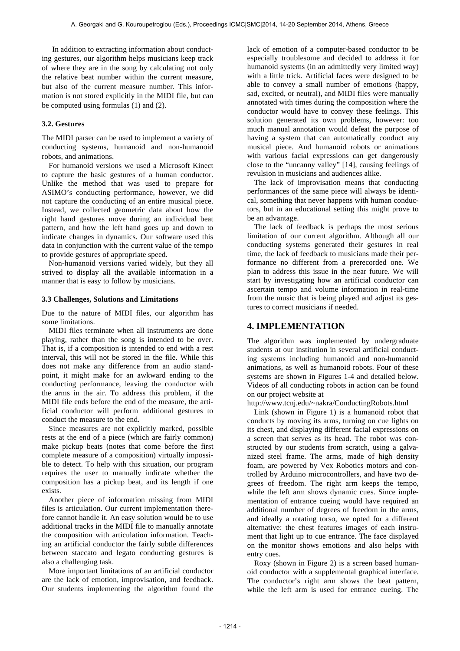In addition to extracting information about conducting gestures, our algorithm helps musicians keep track of where they are in the song by calculating not only the relative beat number within the current measure, but also of the current measure number. This information is not stored explicitly in the MIDI file, but can be computed using formulas (1) and (2).

#### **3.2. Gestures**

The MIDI parser can be used to implement a variety of conducting systems, humanoid and non-humanoid robots, and animations.

For humanoid versions we used a Microsoft Kinect to capture the basic gestures of a human conductor. Unlike the method that was used to prepare for ASIMO's conducting performance, however, we did not capture the conducting of an entire musical piece. Instead, we collected geometric data about how the right hand gestures move during an individual beat pattern, and how the left hand goes up and down to indicate changes in dynamics. Our software used this data in conjunction with the current value of the tempo to provide gestures of appropriate speed.

Non-humanoid versions varied widely, but they all strived to display all the available information in a manner that is easy to follow by musicians.

#### **3.3 Challenges, Solutions and Limitations**

Due to the nature of MIDI files, our algorithm has some limitations.

MIDI files terminate when all instruments are done playing, rather than the song is intended to be over. That is, if a composition is intended to end with a rest interval, this will not be stored in the file. While this does not make any difference from an audio standpoint, it might make for an awkward ending to the conducting performance, leaving the conductor with the arms in the air. To address this problem, if the MIDI file ends before the end of the measure, the artificial conductor will perform additional gestures to conduct the measure to the end.

Since measures are not explicitly marked, possible rests at the end of a piece (which are fairly common) make pickup beats (notes that come before the first complete measure of a composition) virtually impossible to detect. To help with this situation, our program requires the user to manually indicate whether the composition has a pickup beat, and its length if one exists.

Another piece of information missing from MIDI files is articulation. Our current implementation therefore cannot handle it. An easy solution would be to use additional tracks in the MIDI file to manually annotate the composition with articulation information. Teaching an artificial conductor the fairly subtle differences between staccato and legato conducting gestures is also a challenging task.

More important limitations of an artificial conductor are the lack of emotion, improvisation, and feedback. Our students implementing the algorithm found the

lack of emotion of a computer-based conductor to be especially troublesome and decided to address it for humanoid systems (in an admittedly very limited way) with a little trick. Artificial faces were designed to be able to convey a small number of emotions (happy, sad, excited, or neutral), and MIDI files were manually annotated with times during the composition where the conductor would have to convey these feelings. This solution generated its own problems, however: too much manual annotation would defeat the purpose of having a system that can automatically conduct any musical piece. And humanoid robots or animations with various facial expressions can get dangerously close to the "uncanny valley" [14], causing feelings of revulsion in musicians and audiences alike.

The lack of improvisation means that conducting performances of the same piece will always be identical, something that never happens with human conductors, but in an educational setting this might prove to be an advantage.

The lack of feedback is perhaps the most serious limitation of our current algorithm. Although all our conducting systems generated their gestures in real time, the lack of feedback to musicians made their performance no different from a prerecorded one. We plan to address this issue in the near future. We will start by investigating how an artificial conductor can ascertain tempo and volume information in real-time from the music that is being played and adjust its gestures to correct musicians if needed.

# **4. IMPLEMENTATION**

The algorithm was implemented by undergraduate students at our institution in several artificial conducting systems including humanoid and non-humanoid animations, as well as humanoid robots. Four of these systems are shown in Figures 1-4 and detailed below. Videos of all conducting robots in action can be found on our project website at

http://www.tcnj.edu/~nakra/ConductingRobots.html

Link (shown in Figure 1) is a humanoid robot that conducts by moving its arms, turning on cue lights on its chest, and displaying different facial expressions on a screen that serves as its head. The robot was constructed by our students from scratch, using a galvanized steel frame. The arms, made of high density foam, are powered by Vex Robotics motors and controlled by Arduino microcontrollers, and have two degrees of freedom. The right arm keeps the tempo, while the left arm shows dynamic cues. Since implementation of entrance cueing would have required an additional number of degrees of freedom in the arms, and ideally a rotating torso, we opted for a different alternative: the chest features images of each instrument that light up to cue entrance. The face displayed on the monitor shows emotions and also helps with entry cues.

Roxy (shown in Figure 2) is a screen based humanoid conductor with a supplemental graphical interface. The conductor's right arm shows the beat pattern, while the left arm is used for entrance cueing. The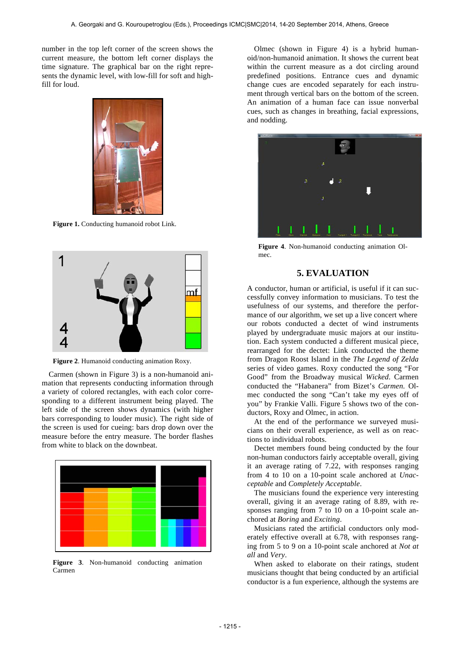number in the top left corner of the screen shows the current measure, the bottom left corner displays the time signature. The graphical bar on the right represents the dynamic level, with low-fill for soft and highfill for loud.



**Figure 1.** Conducting humanoid robot Link.



**Figure 2**. Humanoid conducting animation Roxy.

Carmen (shown in Figure 3) is a non-humanoid animation that represents conducting information through a variety of colored rectangles, with each color corresponding to a different instrument being played. The left side of the screen shows dynamics (with higher bars corresponding to louder music). The right side of the screen is used for cueing: bars drop down over the measure before the entry measure. The border flashes from white to black on the downbeat.



**Figure 3**. Non-humanoid conducting animation Carmen

Olmec (shown in Figure 4) is a hybrid humanoid/non-humanoid animation. It shows the current beat within the current measure as a dot circling around predefined positions. Entrance cues and dynamic change cues are encoded separately for each instrument through vertical bars on the bottom of the screen. An animation of a human face can issue nonverbal cues, such as changes in breathing, facial expressions, and nodding.



**Figure 4**. Non-humanoid conducting animation Olmec.

#### **5. EVALUATION**

A conductor, human or artificial, is useful if it can successfully convey information to musicians. To test the usefulness of our systems, and therefore the performance of our algorithm, we set up a live concert where our robots conducted a dectet of wind instruments played by undergraduate music majors at our institution. Each system conducted a different musical piece, rearranged for the dectet: Link conducted the theme from Dragon Roost Island in the *The Legend of Zelda* series of video games. Roxy conducted the song "For Good" from the Broadway musical *Wicked*. Carmen conducted the "Habanera" from Bizet's *Carmen.* Olmec conducted the song "Can't take my eyes off of you" by Frankie Valli. Figure 5 shows two of the conductors, Roxy and Olmec, in action.

At the end of the performance we surveyed musicians on their overall experience, as well as on reactions to individual robots.

Dectet members found being conducted by the four non-human conductors fairly acceptable overall, giving it an average rating of 7.22, with responses ranging from 4 to 10 on a 10-point scale anchored at *Unacceptable* and *Completely Acceptable*.

The musicians found the experience very interesting overall, giving it an average rating of 8.89, with responses ranging from 7 to 10 on a 10-point scale anchored at *Boring* and *Exciting*.

Musicians rated the artificial conductors only moderately effective overall at 6.78, with responses ranging from 5 to 9 on a 10-point scale anchored at *Not at all* and *Very*.

When asked to elaborate on their ratings, student musicians thought that being conducted by an artificial conductor is a fun experience, although the systems are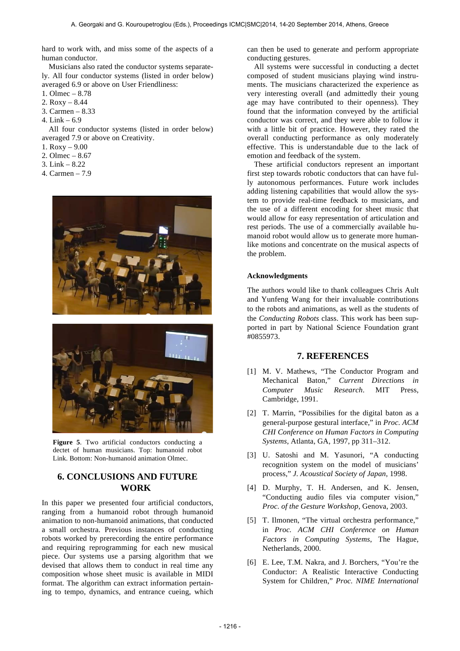hard to work with, and miss some of the aspects of a human conductor.

Musicians also rated the conductor systems separately. All four conductor systems (listed in order below) averaged 6.9 or above on User Friendliness:

- 1. Olmec 8.78
- 2. Roxy 8.44
- 3. Carmen 8.33
- 4. Link 6.9

All four conductor systems (listed in order below) averaged 7.9 or above on Creativity.

- 1. Roxy 9.00
- 2. Olmec 8.67
- 3. Link 8.22
- 4. Carmen 7.9





**Figure 5**. Two artificial conductors conducting a dectet of human musicians. Top: humanoid robot Link. Bottom: Non-humanoid animation Olmec.

# **6. CONCLUSIONS AND FUTURE WORK**

In this paper we presented four artificial conductors, ranging from a humanoid robot through humanoid animation to non-humanoid animations, that conducted a small orchestra. Previous instances of conducting robots worked by prerecording the entire performance and requiring reprogramming for each new musical piece. Our systems use a parsing algorithm that we devised that allows them to conduct in real time any composition whose sheet music is available in MIDI format. The algorithm can extract information pertaining to tempo, dynamics, and entrance cueing, which

can then be used to generate and perform appropriate conducting gestures.

All systems were successful in conducting a dectet composed of student musicians playing wind instruments. The musicians characterized the experience as very interesting overall (and admittedly their young age may have contributed to their openness). They found that the information conveyed by the artificial conductor was correct, and they were able to follow it with a little bit of practice. However, they rated the overall conducting performance as only moderately effective. This is understandable due to the lack of emotion and feedback of the system.

These artificial conductors represent an important first step towards robotic conductors that can have fully autonomous performances. Future work includes adding listening capabilities that would allow the system to provide real-time feedback to musicians, and the use of a different encoding for sheet music that would allow for easy representation of articulation and rest periods. The use of a commercially available humanoid robot would allow us to generate more humanlike motions and concentrate on the musical aspects of the problem.

### **Acknowledgments**

The authors would like to thank colleagues Chris Ault and Yunfeng Wang for their invaluable contributions to the robots and animations, as well as the students of the *Conducting Robots* class. This work has been supported in part by National Science Foundation grant #0855973.

# **7. REFERENCES**

- [1] M. V. Mathews, "The Conductor Program and Mechanical Baton," *Current Directions in Computer Music Research*. MIT Press, Cambridge, 1991.
- [2] T. Marrin, "Possibilies for the digital baton as a general-purpose gestural interface," in *Proc. ACM CHI Conference on Human Factors in Computing Systems*, Atlanta, GA, 1997, pp 311–312.
- [3] U. Satoshi and M. Yasunori, "A conducting recognition system on the model of musicians' process," *J. Acoustical Society of Japan*, 1998.
- [4] D. Murphy, T. H. Andersen, and K. Jensen, "Conducting audio files via computer vision," *Proc. of the Gesture Workshop*, Genova, 2003.
- [5] T. Ilmonen, "The virtual orchestra performance," in *Proc. ACM CHI Conference on Human Factors in Computing Systems*, The Hague, Netherlands, 2000.
- [6] E. Lee, T.M. Nakra, and J. Borchers, "You're the Conductor: A Realistic Interactive Conducting System for Children," *Proc. NIME International*